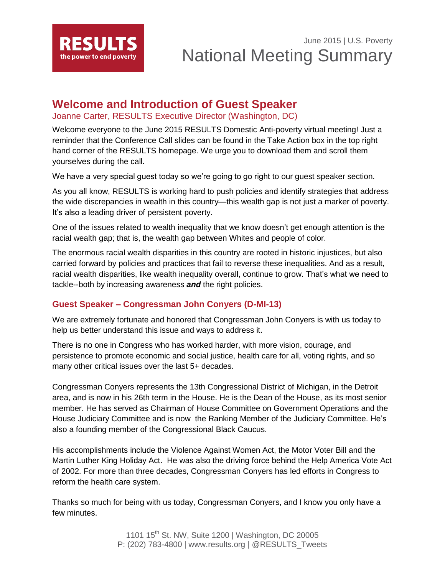

## **Welcome and Introduction of Guest Speaker**

Joanne Carter, RESULTS Executive Director (Washington, DC)

Welcome everyone to the June 2015 RESULTS Domestic Anti-poverty virtual meeting! Just a reminder that the Conference Call slides can be found in the Take Action box in the top right hand corner of the RESULTS homepage. We urge you to download them and scroll them yourselves during the call.

We have a very special guest today so we're going to go right to our guest speaker section.

As you all know, RESULTS is working hard to push policies and identify strategies that address the wide discrepancies in wealth in this country—this wealth gap is not just a marker of poverty. It's also a leading driver of persistent poverty.

One of the issues related to wealth inequality that we know doesn't get enough attention is the racial wealth gap; that is, the wealth gap between Whites and people of color.

The enormous racial wealth disparities in this country are rooted in historic injustices, but also carried forward by policies and practices that fail to reverse these inequalities. And as a result, racial wealth disparities, like wealth inequality overall, continue to grow. That's what we need to tackle--both by increasing awareness *and* the right policies.

## **Guest Speaker – Congressman John Conyers (D-MI-13)**

We are extremely fortunate and honored that Congressman John Conyers is with us today to help us better understand this issue and ways to address it.

There is no one in Congress who has worked harder, with more vision, courage, and persistence to promote economic and social justice, health care for all, voting rights, and so many other critical issues over the last 5+ decades.

Congressman Conyers represents the 13th Congressional District of Michigan, in the Detroit area, and is now in his 26th term in the House. He is the Dean of the House, as its most senior member. He has served as Chairman of House Committee on Government Operations and the House Judiciary Committee and is now the Ranking Member of the Judiciary Committee. He's also a founding member of the Congressional Black Caucus.

His accomplishments include the Violence Against Women Act, the Motor Voter Bill and the Martin Luther King Holiday Act. He was also the driving force behind the Help America Vote Act of 2002. For more than three decades, Congressman Conyers has led efforts in Congress to reform the health care system.

Thanks so much for being with us today, Congressman Conyers, and I know you only have a few minutes.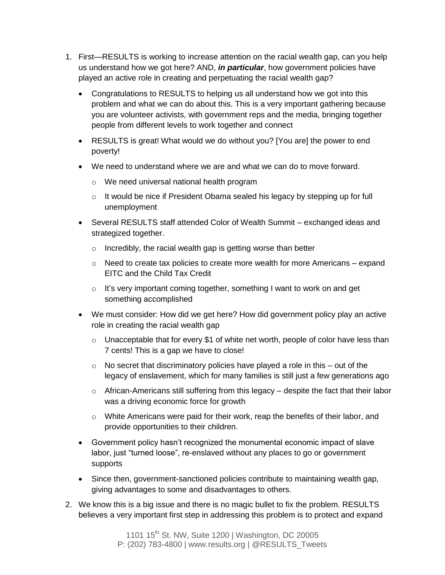- 1. First—RESULTS is working to increase attention on the racial wealth gap, can you help us understand how we got here? AND, *in particular*, how government policies have played an active role in creating and perpetuating the racial wealth gap?
	- Congratulations to RESULTS to helping us all understand how we got into this problem and what we can do about this. This is a very important gathering because you are volunteer activists, with government reps and the media, bringing together people from different levels to work together and connect
	- RESULTS is great! What would we do without you? [You are] the power to end poverty!
	- We need to understand where we are and what we can do to move forward.
		- o We need universal national health program
		- $\circ$  It would be nice if President Obama sealed his legacy by stepping up for full unemployment
	- Several RESULTS staff attended Color of Wealth Summit exchanged ideas and strategized together.
		- $\circ$  Incredibly, the racial wealth gap is getting worse than better
		- $\circ$  Need to create tax policies to create more wealth for more Americans expand EITC and the Child Tax Credit
		- o It's very important coming together, something I want to work on and get something accomplished
	- We must consider: How did we get here? How did government policy play an active role in creating the racial wealth gap
		- $\circ$  Unacceptable that for every \$1 of white net worth, people of color have less than 7 cents! This is a gap we have to close!
		- $\circ$  No secret that discriminatory policies have played a role in this out of the legacy of enslavement, which for many families is still just a few generations ago
		- $\circ$  African-Americans still suffering from this legacy despite the fact that their labor was a driving economic force for growth
		- $\circ$  White Americans were paid for their work, reap the benefits of their labor, and provide opportunities to their children.
	- Government policy hasn't recognized the monumental economic impact of slave labor, just "turned loose", re-enslaved without any places to go or government supports
	- Since then, government-sanctioned policies contribute to maintaining wealth gap, giving advantages to some and disadvantages to others.
- 2. We know this is a big issue and there is no magic bullet to fix the problem. RESULTS believes a very important first step in addressing this problem is to protect and expand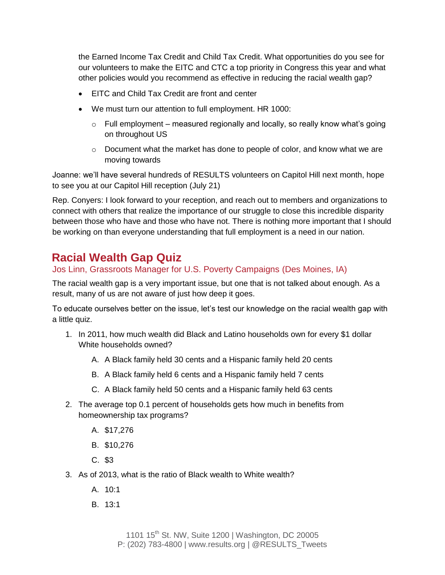the Earned Income Tax Credit and Child Tax Credit. What opportunities do you see for our volunteers to make the EITC and CTC a top priority in Congress this year and what other policies would you recommend as effective in reducing the racial wealth gap?

- EITC and Child Tax Credit are front and center
- We must turn our attention to full employment. HR 1000:
	- $\circ$  Full employment measured regionally and locally, so really know what's going on throughout US
	- $\circ$  Document what the market has done to people of color, and know what we are moving towards

Joanne: we'll have several hundreds of RESULTS volunteers on Capitol Hill next month, hope to see you at our Capitol Hill reception (July 21)

Rep. Conyers: I look forward to your reception, and reach out to members and organizations to connect with others that realize the importance of our struggle to close this incredible disparity between those who have and those who have not. There is nothing more important that I should be working on than everyone understanding that full employment is a need in our nation.

# **Racial Wealth Gap Quiz**

Jos Linn, Grassroots Manager for U.S. Poverty Campaigns (Des Moines, IA)

The racial wealth gap is a very important issue, but one that is not talked about enough. As a result, many of us are not aware of just how deep it goes.

To educate ourselves better on the issue, let's test our knowledge on the racial wealth gap with a little quiz.

- 1. In 2011, how much wealth did Black and Latino households own for every \$1 dollar White households owned?
	- A. A Black family held 30 cents and a Hispanic family held 20 cents
	- B. A Black family held 6 cents and a Hispanic family held 7 cents
	- C. A Black family held 50 cents and a Hispanic family held 63 cents
- 2. The average top 0.1 percent of households gets how much in benefits from homeownership tax programs?
	- A. \$17,276
	- B. \$10,276
	- C. \$3
- 3. As of 2013, what is the ratio of Black wealth to White wealth?
	- $A. 10:1$
	- B. 13:1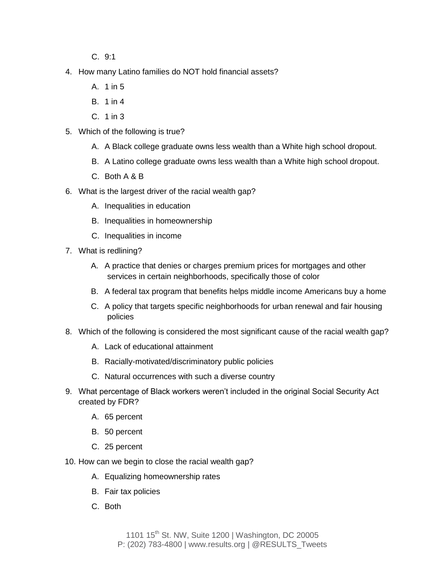C. 9:1

- 4. How many Latino families do NOT hold financial assets?
	- A. 1 in 5
	- B. 1 in 4
	- C. 1 in 3
- 5. Which of the following is true?
	- A. A Black college graduate owns less wealth than a White high school dropout.
	- B. A Latino college graduate owns less wealth than a White high school dropout.
	- C. Both A & B
- 6. What is the largest driver of the racial wealth gap?
	- A. Inequalities in education
	- B. Inequalities in homeownership
	- C. Inequalities in income
- 7. What is redlining?
	- A. A practice that denies or charges premium prices for mortgages and other services in certain neighborhoods, specifically those of color
	- B. A federal tax program that benefits helps middle income Americans buy a home
	- C. A policy that targets specific neighborhoods for urban renewal and fair housing policies
- 8. Which of the following is considered the most significant cause of the racial wealth gap?
	- A. Lack of educational attainment
	- B. Racially-motivated/discriminatory public policies
	- C. Natural occurrences with such a diverse country
- 9. What percentage of Black workers weren't included in the original Social Security Act created by FDR?
	- A. 65 percent
	- B. 50 percent
	- C. 25 percent
- 10. How can we begin to close the racial wealth gap?
	- A. Equalizing homeownership rates
	- B. Fair tax policies
	- C. Both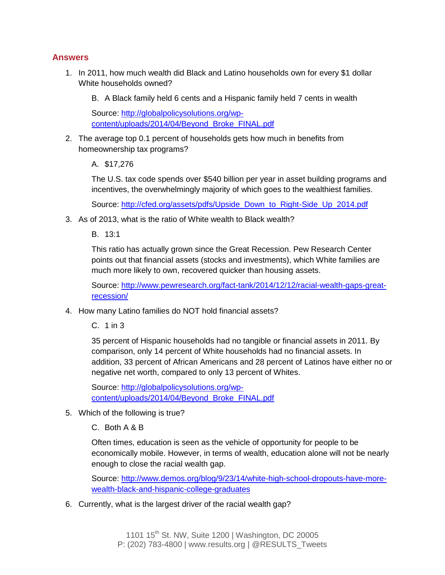#### **Answers**

- 1. In 2011, how much wealth did Black and Latino households own for every \$1 dollar White households owned?
	- B. A Black family held 6 cents and a Hispanic family held 7 cents in wealth

Source: [http://globalpolicysolutions.org/wp](http://globalpolicysolutions.org/wp-content/uploads/2014/04/Beyond_Broke_FINAL.pdf)[content/uploads/2014/04/Beyond\\_Broke\\_FINAL.pdf](http://globalpolicysolutions.org/wp-content/uploads/2014/04/Beyond_Broke_FINAL.pdf)

- 2. The average top 0.1 percent of households gets how much in benefits from homeownership tax programs?
	- A. \$17,276

The U.S. tax code spends over \$540 billion per year in asset building programs and incentives, the overwhelmingly majority of which goes to the wealthiest families.

Source: [http://cfed.org/assets/pdfs/Upside\\_Down\\_to\\_Right-Side\\_Up\\_2014.pdf](http://cfed.org/assets/pdfs/Upside_Down_to_Right-Side_Up_2014.pdf)

3. As of 2013, what is the ratio of White wealth to Black wealth?

B. 13:1

This ratio has actually grown since the Great Recession. Pew Research Center points out that financial assets (stocks and investments), which White families are much more likely to own, recovered quicker than housing assets.

Source: [http://www.pewresearch.org/fact-tank/2014/12/12/racial-wealth-gaps-great](http://www.pewresearch.org/fact-tank/2014/12/12/racial-wealth-gaps-great-recession/)[recession/](http://www.pewresearch.org/fact-tank/2014/12/12/racial-wealth-gaps-great-recession/)

4. How many Latino families do NOT hold financial assets?

C. 1 in 3

35 percent of Hispanic households had no tangible or financial assets in 2011. By comparison, only 14 percent of White households had no financial assets. In addition, 33 percent of African Americans and 28 percent of Latinos have either no or negative net worth, compared to only 13 percent of Whites.

Source: [http://globalpolicysolutions.org/wp](http://globalpolicysolutions.org/wp-content/uploads/2014/04/Beyond_Broke_FINAL.pdf)[content/uploads/2014/04/Beyond\\_Broke\\_FINAL.pdf](http://globalpolicysolutions.org/wp-content/uploads/2014/04/Beyond_Broke_FINAL.pdf)

5. Which of the following is true?

C. Both A & B

Often times, education is seen as the vehicle of opportunity for people to be economically mobile. However, in terms of wealth, education alone will not be nearly enough to close the racial wealth gap.

Source: [http://www.demos.org/blog/9/23/14/white-high-school-dropouts-have-more](http://www.demos.org/blog/9/23/14/white-high-school-dropouts-have-more-wealth-black-and-hispanic-college-graduates)[wealth-black-and-hispanic-college-graduates](http://www.demos.org/blog/9/23/14/white-high-school-dropouts-have-more-wealth-black-and-hispanic-college-graduates)

6. Currently, what is the largest driver of the racial wealth gap?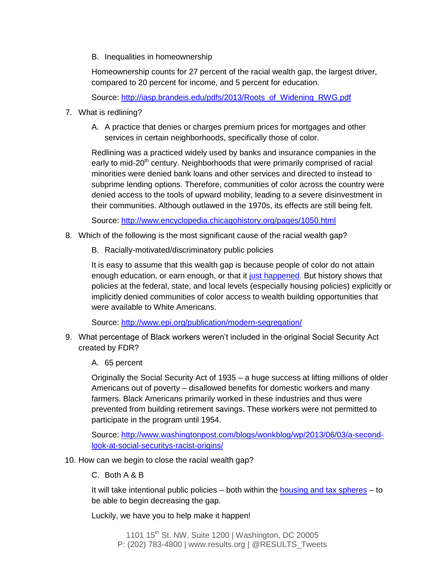B. Inequalities in homeownership

Homeownership counts for 27 percent of the racial wealth gap, the largest driver, compared to 20 percent for income, and 5 percent for education.

Source: [http://iasp.brandeis.edu/pdfs/2013/Roots\\_of\\_Widening\\_RWG.pdf](http://iasp.brandeis.edu/pdfs/2013/Roots_of_Widening_RWG.pdf)

- 7. What is redlining?
	- A. A practice that denies or charges premium prices for mortgages and other services in certain neighborhoods, specifically those of color.

Redlining was a practiced widely used by banks and insurance companies in the early to mid-20<sup>th</sup> century. Neighborhoods that were primarily comprised of racial minorities were denied bank loans and other services and directed to instead to subprime lending options. Therefore, communities of color across the country were denied access to the tools of upward mobility, leading to a severe disinvestment in their communities. Although outlawed in the 1970s, its effects are still being felt.

Source:<http://www.encyclopedia.chicagohistory.org/pages/1050.html>

- 8. Which of the following is the most significant cause of the racial wealth gap?
	- B. Racially-motivated/discriminatory public policies

It is easy to assume that this wealth gap is because people of color do not attain enough education, or earn enough, or that it [just happened.](http://www.epi.org/publication/modern-segregation/) But history shows that policies at the federal, state, and local levels (especially housing policies) explicitly or implicitly denied communities of color access to wealth building opportunities that were available to White Americans.

Source:<http://www.epi.org/publication/modern-segregation/>

9. What percentage of Black workers weren't included in the original Social Security Act created by FDR?

#### A. 65 percent

Originally the Social Security Act of 1935 – a huge success at lifting millions of older Americans out of poverty – disallowed benefits for domestic workers and many farmers. Black Americans primarily worked in these industries and thus were prevented from building retirement savings. These workers were not permitted to participate in the program until 1954.

Source: [http://www.washingtonpost.com/blogs/wonkblog/wp/2013/06/03/a-second](http://www.washingtonpost.com/blogs/wonkblog/wp/2013/06/03/a-second-look-at-social-securitys-racist-origins/)[look-at-social-securitys-racist-origins/](http://www.washingtonpost.com/blogs/wonkblog/wp/2013/06/03/a-second-look-at-social-securitys-racist-origins/) 

10. How can we begin to close the racial wealth gap?

#### C. Both A & B

It will take intentional public policies  $-$  both within the [housing](http://www.newrepublic.com/article/118425/closing-racial-wealth-gap) [and tax spheres](http://www.newrepublic.com/article/118425/closing-racial-wealth-gap)  $-$  to be able to begin decreasing the gap.

Luckily, we have you to help make it happen!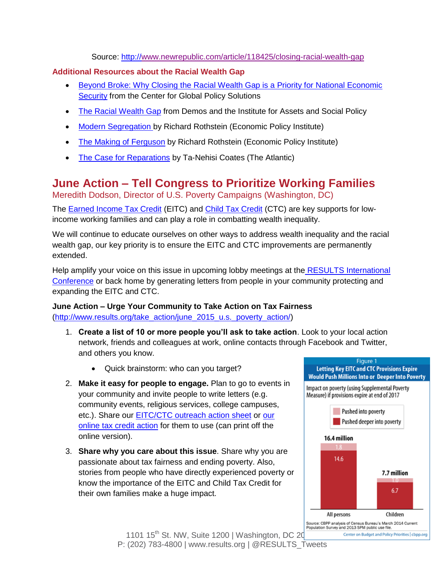Source:<http://www.newrepublic.com/article/118425/closing-racial-wealth-gap>

#### **Additional Resources about the Racial Wealth Gap**

- [Beyond Broke: Why Closing the Racial Wealth Gap is a Priority for National Economic](http://globalpolicysolutions.org/resources/beyond-broke-report/)  [Security](http://globalpolicysolutions.org/resources/beyond-broke-report/) from the Center for Global Policy Solutions
- [The Racial Wealth Gap](http://iasp.brandeis.edu/pdfs/2015/RWA.pdf) from Demos and the Institute for Assets and Social Policy
- [Modern Segregation b](http://www.epi.org/publication/modern-segregation/)y Richard Rothstein (Economic Policy Institute)
- [The Making of Ferguson](http://www.epi.org/publication/making-ferguson/) by Richard Rothstein (Economic Policy Institute)
- [The Case for Reparations](http://www.theatlantic.com/features/archive/2014/05/the-case-for-reparations/361631/) by Ta-Nehisi Coates (The Atlantic)

# **June Action – Tell Congress to Prioritize Working Families**

Meredith Dodson, Director of U.S. Poverty Campaigns (Washington, DC)

The [Earned Income Tax Credit](http://www.results.org/issues/earned_income_tax_credit/) (EITC) and [Child Tax Credit](http://www.results.org/issues/child_tax_credit/) (CTC) are key supports for lowincome working families and can play a role in combatting wealth inequality.

We will continue to educate ourselves on other ways to address wealth inequality and the racial wealth gap, our key priority is to ensure the EITC and CTC improvements are permanently extended.

Help amplify your voice on this issue in upcoming lobby meetings at the RESULTS International [Conference](http://www.cvent.com/events/results-2015-international-conference/event-summary-6e6e2b145a02421a805078305ffdcb1f.aspx?i=56691988) or back home by generating letters from people in your community protecting and expanding the EITC and CTC.

#### **June Action – Urge Your Community to Take Action on Tax Fairness** [\(http://www.results.org/take\\_action/june\\_2015\\_u.s.\\_poverty\\_action/\)](http://www.results.org/take_action/june_2015_u.s._poverty_action/)

- 1. **Create a list of 10 or more people you'll ask to take action**. Look to your local action network, friends and colleagues at work, online contacts through Facebook and Twitter, and others you know.
	- Quick brainstorm: who can you target?
- 2. **Make it easy for people to engage.** Plan to go to events in your community and invite people to write letters (e.g. community events, religious services, college campuses, etc.). Share our [EITC/CTC outreach action sheet](http://www.results.org/uploads/files/2015-06_Outreach_Action_(EITC-CTC).pdf) or [our](http://capwiz.com/results/issues/alert/?alertid=9823986)  [online tax credit action](http://capwiz.com/results/issues/alert/?alertid=9823986) for them to use (can print off the online version).
- 3. **Share why you care about this issue**. Share why you are passionate about tax fairness and ending poverty. Also, stories from people who have directly experienced poverty or know the importance of the EITC and Child Tax Credit for their own families make a huge impact.



1101 15<sup>th</sup> St. NW, Suite 1200 | Washington, DC 20 P: (202) 783-4800 | www.results.org | @RESULTS\_Tweets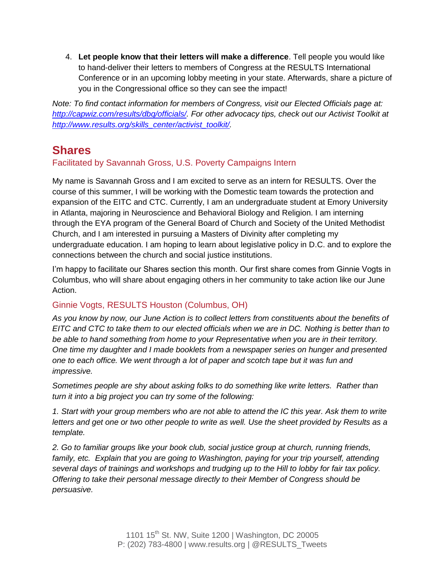4. **Let people know that their letters will make a difference**. Tell people you would like to hand-deliver their letters to members of Congress at the RESULTS International Conference or in an upcoming lobby meeting in your state. Afterwards, share a picture of you in the Congressional office so they can see the impact!

*Note: To find contact information for members of Congress, visit our Elected Officials page at: [http://capwiz.com/results/dbq/officials/.](http://capwiz.com/results/dbq/officials/) For other advocacy tips, check out our Activist Toolkit at [http://www.results.org/skills\\_center/activist\\_toolkit/.](http://www.results.org/skills_center/activist_toolkit/)*

# **Shares**

## Facilitated by Savannah Gross, U.S. Poverty Campaigns Intern

My name is Savannah Gross and I am excited to serve as an intern for RESULTS. Over the course of this summer, I will be working with the Domestic team towards the protection and expansion of the EITC and CTC. Currently, I am an undergraduate student at Emory University in Atlanta, majoring in Neuroscience and Behavioral Biology and Religion. I am interning through the EYA program of the General Board of Church and Society of the United Methodist Church, and I am interested in pursuing a Masters of Divinity after completing my undergraduate education. I am hoping to learn about legislative policy in D.C. and to explore the connections between the church and social justice institutions.

I'm happy to facilitate our Shares section this month. Our first share comes from Ginnie Vogts in Columbus, who will share about engaging others in her community to take action like our June Action.

## Ginnie Vogts, RESULTS Houston (Columbus, OH)

*As you know by now, our June Action is to collect letters from constituents about the benefits of EITC and CTC to take them to our elected officials when we are in DC. Nothing is better than to be able to hand something from home to your Representative when you are in their territory. One time my daughter and I made booklets from a newspaper series on hunger and presented one to each office. We went through a lot of paper and scotch tape but it was fun and impressive.* 

*Sometimes people are shy about asking folks to do something like write letters. Rather than turn it into a big project you can try some of the following:*

*1. Start with your group members who are not able to attend the IC this year. Ask them to write*  letters and get one or two other people to write as well. Use the sheet provided by Results as a *template.*

*2. Go to familiar groups like your book club, social justice group at church, running friends, family, etc. Explain that you are going to Washington, paying for your trip yourself, attending several days of trainings and workshops and trudging up to the Hill to lobby for fair tax policy. Offering to take their personal message directly to their Member of Congress should be persuasive.*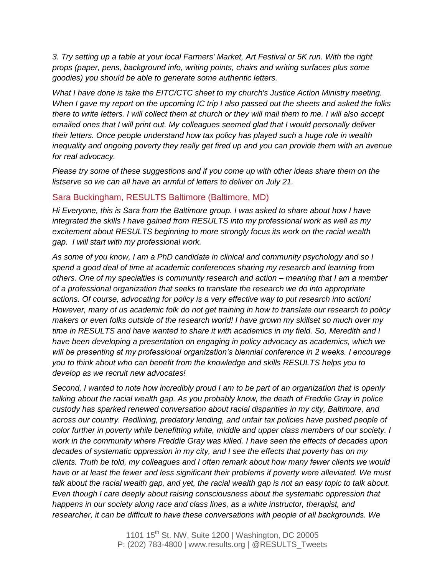*3. Try setting up a table at your local Farmers' Market, Art Festival or 5K run. With the right props (paper, pens, background info, writing points, chairs and writing surfaces plus some goodies) you should be able to generate some authentic letters.* 

*What I have done is take the EITC/CTC sheet to my church's Justice Action Ministry meeting. When I gave my report on the upcoming IC trip I also passed out the sheets and asked the folks there to write letters. I will collect them at church or they will mail them to me. I will also accept emailed ones that I will print out. My colleagues seemed glad that I would personally deliver their letters. Once people understand how tax policy has played such a huge role in wealth inequality and ongoing poverty they really get fired up and you can provide them with an avenue for real advocacy.*

*Please try some of these suggestions and if you come up with other ideas share them on the listserve so we can all have an armful of letters to deliver on July 21.* 

#### Sara Buckingham, RESULTS Baltimore (Baltimore, MD)

*Hi Everyone, this is Sara from the Baltimore group. I was asked to share about how I have integrated the skills I have gained from RESULTS into my professional work as well as my excitement about RESULTS beginning to more strongly focus its work on the racial wealth gap. I will start with my professional work.*

*As some of you know, I am a PhD candidate in clinical and community psychology and so I spend a good deal of time at academic conferences sharing my research and learning from others. One of my specialties is community research and action – meaning that I am a member of a professional organization that seeks to translate the research we do into appropriate actions. Of course, advocating for policy is a very effective way to put research into action! However, many of us academic folk do not get training in how to translate our research to policy makers or even folks outside of the research world! I have grown my skillset so much over my time in RESULTS and have wanted to share it with academics in my field. So, Meredith and I have been developing a presentation on engaging in policy advocacy as academics, which we will be presenting at my professional organization's biennial conference in 2 weeks. I encourage you to think about who can benefit from the knowledge and skills RESULTS helps you to develop as we recruit new advocates!*

*Second, I wanted to note how incredibly proud I am to be part of an organization that is openly talking about the racial wealth gap. As you probably know, the death of Freddie Gray in police custody has sparked renewed conversation about racial disparities in my city, Baltimore, and across our country. Redlining, predatory lending, and unfair tax policies have pushed people of color further in poverty while benefitting white, middle and upper class members of our society. I work in the community where Freddie Gray was killed. I have seen the effects of decades upon decades of systematic oppression in my city, and I see the effects that poverty has on my clients. Truth be told, my colleagues and I often remark about how many fewer clients we would have or at least the fewer and less significant their problems if poverty were alleviated. We must talk about the racial wealth gap, and yet, the racial wealth gap is not an easy topic to talk about. Even though I care deeply about raising consciousness about the systematic oppression that happens in our society along race and class lines, as a white instructor, therapist, and researcher, it can be difficult to have these conversations with people of all backgrounds. We*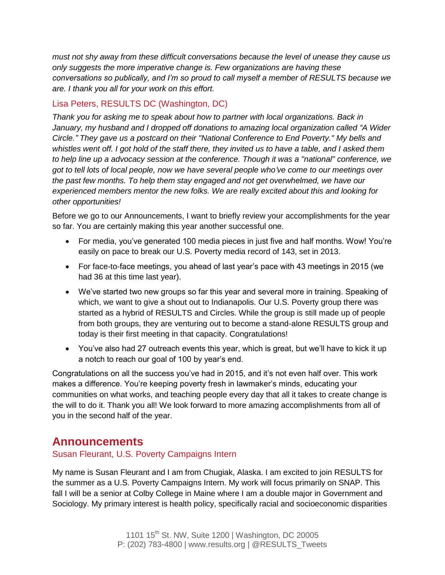*must not shy away from these difficult conversations because the level of unease they cause us only suggests the more imperative change is. Few organizations are having these conversations so publically, and I'm so proud to call myself a member of RESULTS because we are. I thank you all for your work on this effort.*

## Lisa Peters, RESULTS DC (Washington, DC)

*Thank you for asking me to speak about how to partner with local organizations. Back in January, my husband and I dropped off donations to amazing local organization called "A Wider Circle." They gave us a postcard on their "National Conference to End Poverty." My bells and whistles went off. I got hold of the staff there, they invited us to have a table, and I asked them to help line up a advocacy session at the conference. Though it was a "national" conference, we got to tell lots of local people, now we have several people who've come to our meetings over the past few months. To help them stay engaged and not get overwhelmed, we have our experienced members mentor the new folks. We are really excited about this and looking for other opportunities!* 

Before we go to our Announcements, I want to briefly review your accomplishments for the year so far. You are certainly making this year another successful one.

- For media, you've generated 100 media pieces in just five and half months. Wow! You're easily on pace to break our U.S. Poverty media record of 143, set in 2013.
- For face-to-face meetings, you ahead of last year's pace with 43 meetings in 2015 (we had 36 at this time last year).
- We've started two new groups so far this year and several more in training. Speaking of which, we want to give a shout out to Indianapolis. Our U.S. Poverty group there was started as a hybrid of RESULTS and Circles. While the group is still made up of people from both groups, they are venturing out to become a stand-alone RESULTS group and today is their first meeting in that capacity. Congratulations!
- You've also had 27 outreach events this year, which is great, but we'll have to kick it up a notch to reach our goal of 100 by year's end.

Congratulations on all the success you've had in 2015, and it's not even half over. This work makes a difference. You're keeping poverty fresh in lawmaker's minds, educating your communities on what works, and teaching people every day that all it takes to create change is the will to do it. Thank you all! We look forward to more amazing accomplishments from all of you in the second half of the year.

## **Announcements**

## Susan Fleurant, U.S. Poverty Campaigns Intern

My name is Susan Fleurant and I am from Chugiak, Alaska. I am excited to join RESULTS for the summer as a U.S. Poverty Campaigns Intern. My work will focus primarily on SNAP. This fall I will be a senior at Colby College in Maine where I am a double major in Government and Sociology. My primary interest is health policy, specifically racial and socioeconomic disparities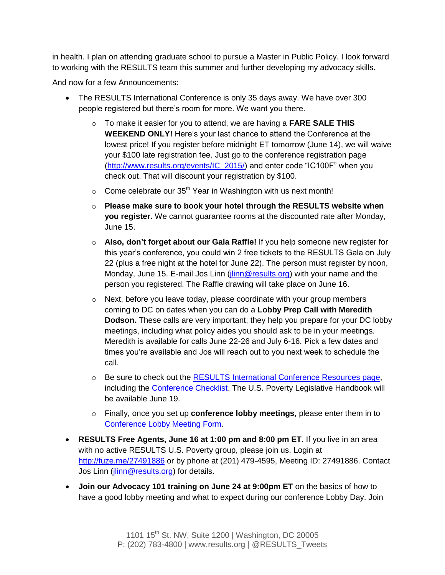in health. I plan on attending graduate school to pursue a Master in Public Policy. I look forward to working with the RESULTS team this summer and further developing my advocacy skills.

And now for a few Announcements:

- The RESULTS International Conference is only 35 days away. We have over 300 people registered but there's room for more. We want you there.
	- o To make it easier for you to attend, we are having a **FARE SALE THIS WEEKEND ONLY!** Here's your last chance to attend the Conference at the lowest price! If you register before midnight ET tomorrow (June 14), we will waive your \$100 late registration fee. Just go to the conference registration page [\(http://www.results.org/events/IC\\_2015/\)](http://www.results.org/events/IC_2015/) and enter code "IC100F" when you check out. That will discount your registration by \$100.
	- $\circ$  Come celebrate our 35<sup>th</sup> Year in Washington with us next month!
	- o **Please make sure to book your hotel through the RESULTS website when you register.** We cannot guarantee rooms at the discounted rate after Monday, June 15.
	- o **Also, don't forget about our Gala Raffle!** If you help someone new register for this year's conference, you could win 2 free tickets to the RESULTS Gala on July 22 (plus a free night at the hotel for June 22). The person must register by noon, Monday, June 15. E-mail Jos Linn [\(jlinn@results.org\)](mailto:jlinn@results.org) with your name and the person you registered. The Raffle drawing will take place on June 16.
	- o Next, before you leave today, please coordinate with your group members coming to DC on dates when you can do a **Lobby Prep Call with Meredith Dodson.** These calls are very important; they help you prepare for your DC lobby meetings, including what policy aides you should ask to be in your meetings. Meredith is available for calls June 22-26 and July 6-16. Pick a few dates and times you're available and Jos will reach out to you next week to schedule the call.
	- o Be sure to check out the [RESULTS International Conference Resources page,](http://www.results.org/skills_center/2015_results_international_conference_resources/) including the [Conference Checklist.](http://www.results.org/uploads/files/2015_IC_Checklist.pdf) The U.S. Poverty Legislative Handbook will be available June 19.
	- o Finally, once you set up **conference lobby meetings**, please enter them in to [Conference Lobby Meeting Form.](http://tinyurl.com/2015ICLobbyMtgs)
- **RESULTS Free Agents, June 16 at 1:00 pm and 8:00 pm ET**. If you live in an area with no active RESULTS U.S. Poverty group, please join us. Login at <http://fuze.me/27491886> or by phone at (201) 479-4595, Meeting ID: 27491886. Contact Jos Linn (*jlinn@results.org*) for details.
- **Join our Advocacy 101 training on June 24 at 9:00pm ET** on the basics of how to have a good lobby meeting and what to expect during our conference Lobby Day. Join